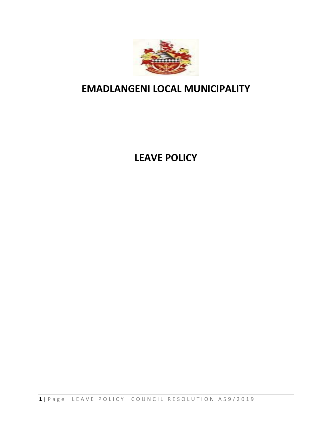

# **EMADLANGENI LOCAL MUNICIPALITY**

# **LEAVE POLICY**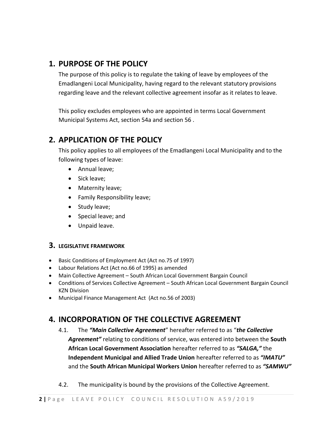#### **1. PURPOSE OF THE POLICY**

The purpose of this policy is to regulate the taking of leave by employees of the Emadlangeni Local Municipality, having regard to the relevant statutory provisions regarding leave and the relevant collective agreement insofar as it relates to leave.

This policy excludes employees who are appointed in terms Local Government Municipal Systems Act, section 54a and section 56 .

### **2. APPLICATION OF THE POLICY**

This policy applies to all employees of the Emadlangeni Local Municipality and to the following types of leave:

- Annual leave;
- Sick leave;
- Maternity leave;
- Family Responsibility leave;
- Study leave;
- Special leave; and
- Unpaid leave.

#### **3. LEGISLATIVE FRAMEWORK**

- Basic Conditions of Employment Act (Act no.75 of 1997)
- Labour Relations Act (Act no.66 of 1995) as amended
- Main Collective Agreement South African Local Government Bargain Council
- Conditions of Services Collective Agreement South African Local Government Bargain Council KZN Division
- Municipal Finance Management Act (Act no.56 of 2003)

### **4. INCORPORATION OF THE COLLECTIVE AGREEMENT**

- 4.1. The *"Main Collective Agreement*" hereafter referred to as "*the Collective Agreement"* relating to conditions of service, was entered into between the **South African Local Government Association** hereafter referred to as *"SALGA,"* the **Independent Municipal and Allied Trade Union** hereafter referred to as *"IMATU"* and the **South African Municipal Workers Union** hereafter referred to as *"SAMWU"*
- 4.2. The municipality is bound by the provisions of the Collective Agreement.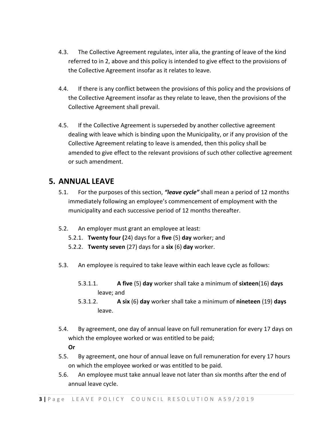- 4.3. The Collective Agreement regulates, inter alia, the granting of leave of the kind referred to in 2, above and this policy is intended to give effect to the provisions of the Collective Agreement insofar as it relates to leave.
- 4.4. If there is any conflict between the provisions of this policy and the provisions of the Collective Agreement insofar as they relate to leave, then the provisions of the Collective Agreement shall prevail.
- 4.5. If the Collective Agreement is superseded by another collective agreement dealing with leave which is binding upon the Municipality, or if any provision of the Collective Agreement relating to leave is amended, then this policy shall be amended to give effect to the relevant provisions of such other collective agreement or such amendment.

#### **5. ANNUAL LEAVE**

- 5.1. For the purposes of this section, *"leave cycle"* shall mean a period of 12 months immediately following an employee's commencement of employment with the municipality and each successive period of 12 months thereafter.
- 5.2. An employer must grant an employee at least:
	- 5.2.1. **Twenty four (**24) days for a **five** (5) **day** worker; and
	- 5.2.2. **Twenty seven** (27) days for a **six** (6) **day** worker.
- 5.3. An employee is required to take leave within each leave cycle as follows:
	- 5.3.1.1. **A five** (5) **day** worker shall take a minimum of **sixteen**(16) **days** leave; and
	- 5.3.1.2. **A six** (6) **day** worker shall take a minimum of **nineteen** (19) **days**  leave.
- 5.4. By agreement, one day of annual leave on full remuneration for every 17 days on which the employee worked or was entitled to be paid;

#### **Or**

- 5.5. By agreement, one hour of annual leave on full remuneration for every 17 hours on which the employee worked or was entitled to be paid.
- 5.6. An employee must take annual leave not later than six months after the end of annual leave cycle.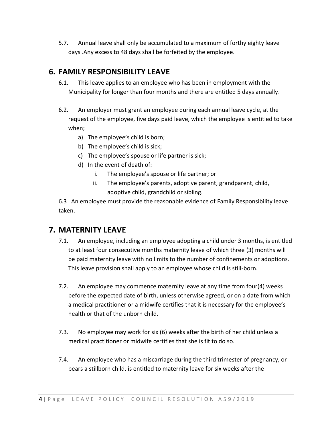5.7. Annual leave shall only be accumulated to a maximum of forthy eighty leave days .Any excess to 48 days shall be forfeited by the employee.

#### **6. FAMILY RESPONSIBILITY LEAVE**

- 6.1. This leave applies to an employee who has been in employment with the Municipality for longer than four months and there are entitled 5 days annually.
- 6.2. An employer must grant an employee during each annual leave cycle, at the request of the employee, five days paid leave, which the employee is entitled to take when;
	- a) The employee's child is born;
	- b) The employee's child is sick;
	- c) The employee's spouse or life partner is sick;
	- d) In the event of death of:
		- i. The employee's spouse or life partner; or
		- ii. The employee's parents, adoptive parent, grandparent, child, adoptive child, grandchild or sibling.

6.3 An employee must provide the reasonable evidence of Family Responsibility leave taken.

#### **7. MATERNITY LEAVE**

- 7.1. An employee, including an employee adopting a child under 3 months, is entitled to at least four consecutive months maternity leave of which three (3) months will be paid maternity leave with no limits to the number of confinements or adoptions. This leave provision shall apply to an employee whose child is still-born.
- 7.2. An employee may commence maternity leave at any time from four(4) weeks before the expected date of birth, unless otherwise agreed, or on a date from which a medical practitioner or a midwife certifies that it is necessary for the employee's health or that of the unborn child.
- 7.3. No employee may work for six (6) weeks after the birth of her child unless a medical practitioner or midwife certifies that she is fit to do so.
- 7.4. An employee who has a miscarriage during the third trimester of pregnancy, or bears a stillborn child, is entitled to maternity leave for six weeks after the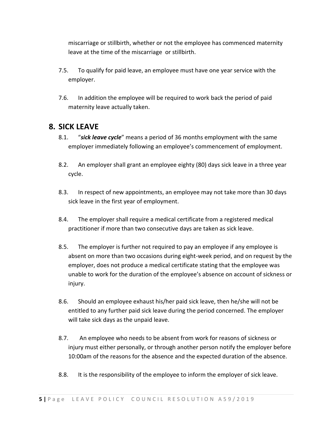miscarriage or stillbirth, whether or not the employee has commenced maternity leave at the time of the miscarriage or stillbirth.

- 7.5. To qualify for paid leave, an employee must have one year service with the employer.
- 7.6. In addition the employee will be required to work back the period of paid maternity leave actually taken.

#### **8. SICK LEAVE**

- 8.1. "*sick leave cycle*" means a period of 36 months employment with the same employer immediately following an employee's commencement of employment.
- 8.2. An employer shall grant an employee eighty (80) days sick leave in a three year cycle.
- 8.3. In respect of new appointments, an employee may not take more than 30 days sick leave in the first year of employment.
- 8.4. The employer shall require a medical certificate from a registered medical practitioner if more than two consecutive days are taken as sick leave.
- 8.5. The employer is further not required to pay an employee if any employee is absent on more than two occasions during eight-week period, and on request by the employer, does not produce a medical certificate stating that the employee was unable to work for the duration of the employee's absence on account of sickness or injury.
- 8.6. Should an employee exhaust his/her paid sick leave, then he/she will not be entitled to any further paid sick leave during the period concerned. The employer will take sick days as the unpaid leave.
- 8.7. An employee who needs to be absent from work for reasons of sickness or injury must either personally, or through another person notify the employer before 10:00am of the reasons for the absence and the expected duration of the absence.
- 8.8. It is the responsibility of the employee to inform the employer of sick leave.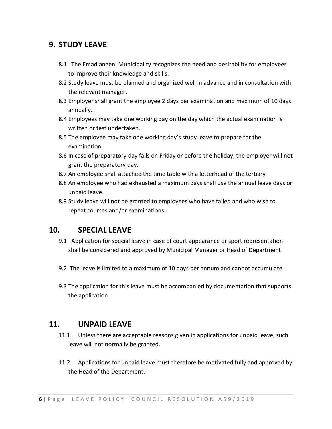#### **9. STUDY LEAVE**

- 8.1 The Emadlangeni Municipality recognizes the need and desirability for employees to improve their knowledge and skills.
- 8.2 Study leave must be planned and organized well in advance and in consultation with the relevant manager.
- 8.3 Employer shall grant the employee 2 days per examination and maximum of 10 days annually.
- 8.4 Employees may take one working day on the day which the actual examination is written or test undertaken.
- 8.5 The employee may take one working day's study leave to prepare for the examination.
- 8.6 In case of preparatory day falls on Friday or before the holiday, the employer will not grant the preparatory day.
- 8.7 An employee shall attached the time table with a letterhead of the tertiary
- 8.8 An employee who had exhausted a maximum days shall use the annual leave days or unpaid leave.
- 8.9 Study leave will not be granted to employees who have failed and who wish to repeat courses and/or examinations.

#### **10. SPECIAL LEAVE**

- 9.1 Application for special leave in case of court appearance or sport representation shall be considered and approved by Municipal Manager or Head of Department
- 9.2 The leave is limited to a maximum of 10 days per annum and cannot accumulate
- 9.3 The application for this leave must be accompanied by documentation that supports the application.

#### **11. UNPAID LEAVE**

- 11.1. Unless there are acceptable reasons given in applications for unpaid leave, such leave will not normally be granted.
- 11.2. Applications for unpaid leave must therefore be motivated fully and approved by the Head of the Department.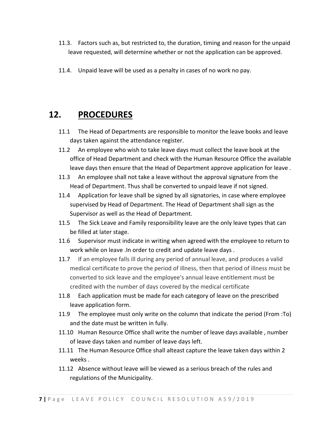- 11.3. Factors such as, but restricted to, the duration, timing and reason for the unpaid leave requested, will determine whether or not the application can be approved.
- 11.4. Unpaid leave will be used as a penalty in cases of no work no pay.

### **12. PROCEDURES**

- 11.1 The Head of Departments are responsible to monitor the leave books and leave days taken against the attendance register.
- 11.2 An employee who wish to take leave days must collect the leave book at the office of Head Department and check with the Human Resource Office the available leave days then ensure that the Head of Department approve application for leave .
- 11.3 An employee shall not take a leave without the approval signature from the Head of Department. Thus shall be converted to unpaid leave if not signed.
- 11.4 Application for leave shall be signed by all signatories, in case where employee supervised by Head of Department. The Head of Department shall sign as the Supervisor as well as the Head of Department.
- 11.5 The Sick Leave and Family responsibility leave are the only leave types that can be filled at later stage.
- 11.6 Supervisor must indicate in writing when agreed with the employee to return to work while on leave .In order to credit and update leave days .
- 11.7 If an employee falls ill during any period of annual leave, and produces a valid medical certificate to prove the period of illness, then that period of illness must be converted to sick leave and the employee's annual leave entitlement must be credited with the number of days covered by the medical certificate
- 11.8 Each application must be made for each category of leave on the prescribed leave application form.
- 11.9 The employee must only write on the column that indicate the period (From :To) and the date must be written in fully.
- 11.10 Human Resource Office shall write the number of leave days available , number of leave days taken and number of leave days left.
- 11.11 The Human Resource Office shall alteast capture the leave taken days within 2 weeks .
- 11.12 Absence without leave will be viewed as a serious breach of the rules and regulations of the Municipality.